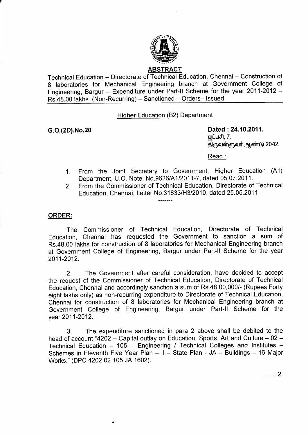

## **ABSTRACT**

Technical Education - Directorate of Technical Education, Chennai - Construction of 8 laboratories for Mechanical Engineering branch at Government College of Engineering, Bargur - Expenditure under Part-II Scheme for the year 2011-2012 -Rs.48.00 lakhs (Non-Recurring) - Sanctioned - Orders- Issued.

Hiqher Education (B2) Department

G.o.(2D).No.20 Dated :24.10.2011. னப்பசி,  $7,$ திருவள்ளுவர் ஆண்டு 2042.

Read :

- From the Joint Secretary to Government, Higher Education (41) Department, U.O. Note. No.9626/A112011-7, dated 05.07 .2011. 1.
- From the Commissioner of Technical Education, Directorate of Technical Education, Chennai, Letter No.31833/H3/2010, dated 25.05.2011. 2.

## ORDER:

The Commissioner of Technical Education, Directorate of Technical Education, Chennai has requested the Government to sanction a sum of Rs.48.00 lakhs for construction of 8 laboratories for Mechanical Engineering branch at Government College of Engineering, Bargur under Part-ll Scheme for the year 2011-2012.

2. The Government after careful consideration, have decided to accept the request of the Commissioner of Technical Education, Directorate of Technical Education, Chennai and accordingly sanction a sum of Rs.48,00,000/- (Rupees Forty eight lakhs only) as non-recurring expenditure to Directorate of Technical Education, Chennai for construction of 8 laboratories for Mechanical Engineering branch at Government College of Engineering, Bargur under Part-ll Scheme for the year 2011-2012.

3. The expenditure sanctioned in para 2 above shall be debited to the head of account "4202 - Capital outlay on Education, Sports, Art and Culture  $-02$  -Technical Education  $-$  105  $-$  Engineering / Technical Colleges and Institutes  $-$ Schemes in Eleventh Five Year Plan - II - State Plan - JA - Buildings - 16 Major Works." (DPC 4202 02 105 JA 1602).

. . . . . . . . 2.